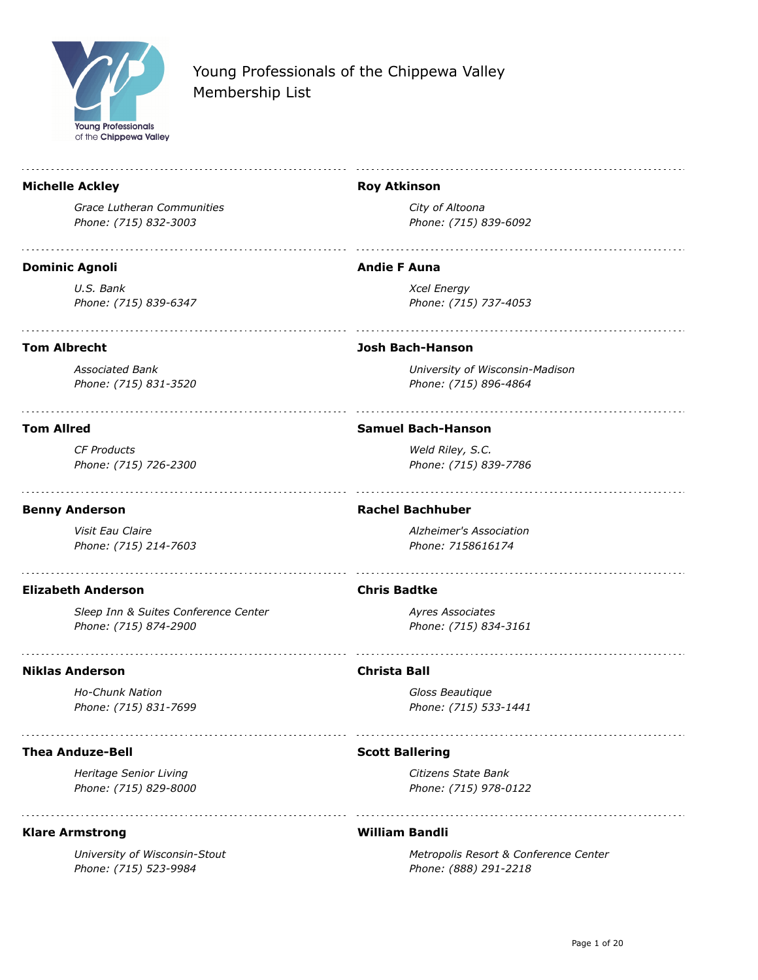

#### **Michelle Ackley**

*Grace Lutheran Communities Phone: (715) 832-3003*

#### **Dominic Agnoli**

*U.S. Bank Phone: (715) 839-6347*

#### **Tom Albrecht**

*Associated Bank Phone: (715) 831-3520*

#### **Tom Allred**

*CF Products Phone: (715) 726-2300*

### **Benny Anderson**

*Visit Eau Claire Phone: (715) 214-7603*

### **Elizabeth Anderson**

*Sleep Inn & Suites Conference Center Phone: (715) 874-2900*

### **Niklas Anderson**

*Ho-Chunk Nation Phone: (715) 831-7699*

### **Thea Anduze-Bell**

*Heritage Senior Living Phone: (715) 829-8000*

### **Klare Armstrong**

*University of Wisconsin-Stout Phone: (715) 523-9984*

#### **Roy Atkinson**

*City of Altoona Phone: (715) 839-6092*

### **Andie F Auna**

*Xcel Energy Phone: (715) 737-4053*

### **Josh Bach-Hanson**

*University of Wisconsin-Madison Phone: (715) 896-4864*

#### **Samuel Bach-Hanson**

*Weld Riley, S.C. Phone: (715) 839-7786*

#### **Rachel Bachhuber**

*Alzheimer's Association Phone: 7158616174*

### **Chris Badtke**

*Ayres Associates Phone: (715) 834-3161*

### **Christa Ball**

*Gloss Beautique Phone: (715) 533-1441*

### **Scott Ballering**

*Citizens State Bank Phone: (715) 978-0122*

### **William Bandli**

*Metropolis Resort & Conference Center Phone: (888) 291-2218*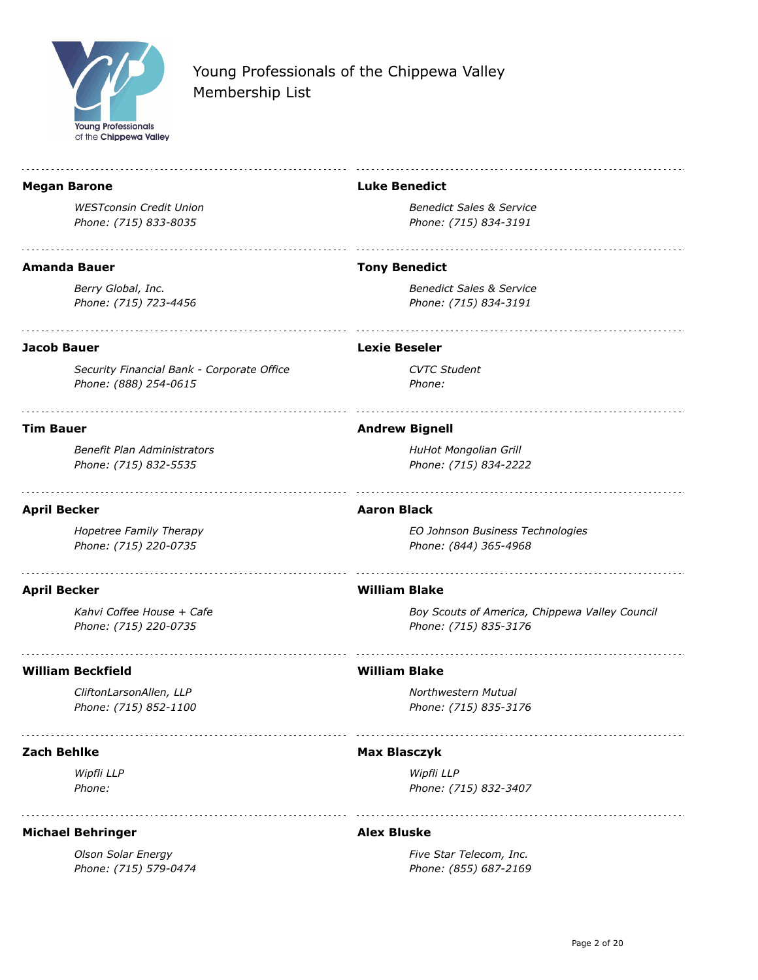

| <b>Megan Barone</b>                                | <b>Luke Benedict</b>                                                    |
|----------------------------------------------------|-------------------------------------------------------------------------|
| <b>WESTconsin Credit Union</b>                     | <b>Benedict Sales &amp; Service</b>                                     |
| Phone: (715) 833-8035                              | Phone: (715) 834-3191                                                   |
| <b>Amanda Bauer</b>                                | <b>Tony Benedict</b>                                                    |
| Berry Global, Inc.                                 | <b>Benedict Sales &amp; Service</b>                                     |
| Phone: (715) 723-4456                              | Phone: (715) 834-3191                                                   |
| <b>Jacob Bauer</b>                                 | <b>Lexie Beseler</b>                                                    |
| Security Financial Bank - Corporate Office         | <b>CVTC Student</b>                                                     |
| Phone: (888) 254-0615                              | Phone:                                                                  |
| <b>Tim Bauer</b>                                   | <b>Andrew Bignell</b>                                                   |
| Benefit Plan Administrators                        | HuHot Mongolian Grill                                                   |
| Phone: (715) 832-5535                              | Phone: (715) 834-2222                                                   |
| <b>April Becker</b>                                | <b>Aaron Black</b>                                                      |
| Hopetree Family Therapy<br>Phone: (715) 220-0735   | EO Johnson Business Technologies<br>Phone: (844) 365-4968               |
|                                                    | <b>William Blake</b>                                                    |
| <b>April Becker</b>                                |                                                                         |
| Kahvi Coffee House + Cafe<br>Phone: (715) 220-0735 | Boy Scouts of America, Chippewa Valley Council<br>Phone: (715) 835-3176 |
| <b>William Beckfield</b>                           | <b>William Blake</b>                                                    |
| CliftonLarsonAllen, LLP                            | Northwestern Mutual                                                     |
| Phone: (715) 852-1100                              | Phone: (715) 835-3176                                                   |
| <b>Zach Behlke</b>                                 | <b>Max Blasczyk</b>                                                     |
| Wipfli LLP                                         | Wipfli LLP                                                              |
| Phone:                                             | Phone: (715) 832-3407                                                   |
| <b>Michael Behringer</b>                           | <b>Alex Bluske</b>                                                      |

*Olson Solar Energy Phone: (715) 579-0474*

*Five Star Telecom, Inc. Phone: (855) 687-2169*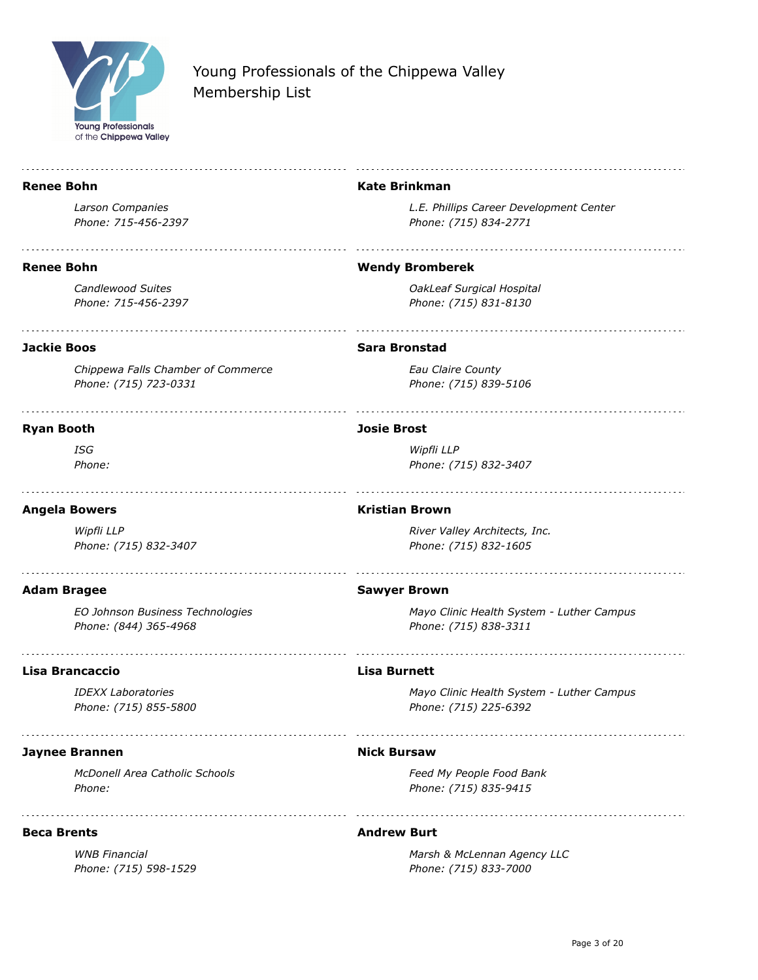

| <b>Renee Bohn</b>                                           | <b>Kate Brinkman</b>                                               |
|-------------------------------------------------------------|--------------------------------------------------------------------|
| Larson Companies<br>Phone: 715-456-2397                     | L.E. Phillips Career Development Center<br>Phone: (715) 834-2771   |
| <b>Renee Bohn</b>                                           | <b>Wendy Bromberek</b>                                             |
| <b>Candlewood Suites</b><br>Phone: 715-456-2397             | OakLeaf Surgical Hospital<br>Phone: (715) 831-8130                 |
| <b>Jackie Boos</b>                                          | <b>Sara Bronstad</b>                                               |
| Chippewa Falls Chamber of Commerce<br>Phone: (715) 723-0331 | Eau Claire County<br>Phone: (715) 839-5106                         |
| <b>Ryan Booth</b>                                           | <b>Josie Brost</b>                                                 |
| ISG<br>Phone:                                               | Wipfli LLP<br>Phone: (715) 832-3407                                |
| <b>Angela Bowers</b>                                        | <b>Kristian Brown</b>                                              |
| Wipfli LLP<br>Phone: (715) 832-3407                         | River Valley Architects, Inc.<br>Phone: (715) 832-1605             |
| <b>Adam Bragee</b>                                          | <b>Sawyer Brown</b>                                                |
| EO Johnson Business Technologies<br>Phone: (844) 365-4968   | Mayo Clinic Health System - Luther Campus<br>Phone: (715) 838-3311 |
| Lisa Brancaccio                                             | <b>Lisa Burnett</b>                                                |
| <b>IDEXX Laboratories</b><br>Phone: (715) 855-5800          | Mayo Clinic Health System - Luther Campus<br>Phone: (715) 225-6392 |
| <b>Jaynee Brannen</b>                                       | <b>Nick Bursaw</b>                                                 |
| <b>McDonell Area Catholic Schools</b><br>Phone:             | Feed My People Food Bank<br>Phone: (715) 835-9415                  |
| <b>Beca Brents</b>                                          | <b>Andrew Burt</b>                                                 |

*WNB Financial Phone: (715) 598-1529* *Marsh & McLennan Agency LLC Phone: (715) 833-7000*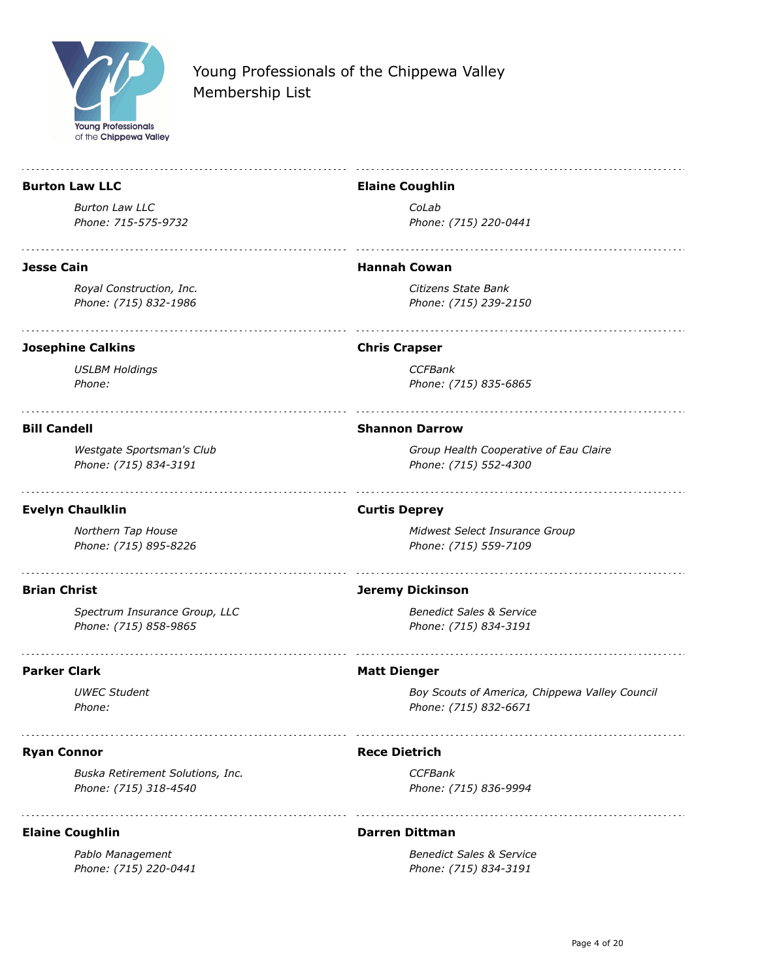

÷.

| <b>Burton Law LLC</b>                                     | <b>Elaine Coughlin</b>                                                  |
|-----------------------------------------------------------|-------------------------------------------------------------------------|
| <b>Burton Law LLC</b>                                     | CoLab                                                                   |
| Phone: 715-575-9732                                       | Phone: (715) 220-0441                                                   |
| Jesse Cain                                                | <b>Hannah Cowan</b>                                                     |
| Royal Construction, Inc.<br>Phone: (715) 832-1986         | Citizens State Bank<br>Phone: (715) 239-2150                            |
| <b>Josephine Calkins</b>                                  | <b>Chris Crapser</b>                                                    |
| <b>USLBM Holdings</b><br>Phone:                           | <b>CCFBank</b><br>Phone: (715) 835-6865                                 |
| <b>Bill Candell</b>                                       | <b>Shannon Darrow</b>                                                   |
| Westgate Sportsman's Club<br>Phone: (715) 834-3191        | Group Health Cooperative of Eau Claire<br>Phone: (715) 552-4300         |
| <b>Evelyn Chaulklin</b>                                   | <b>Curtis Deprey</b>                                                    |
| Northern Tap House<br>Phone: (715) 895-8226               | Midwest Select Insurance Group<br>Phone: (715) 559-7109                 |
| <b>Brian Christ</b>                                       | <b>Jeremy Dickinson</b>                                                 |
| Spectrum Insurance Group, LLC<br>Phone: (715) 858-9865    | <b>Benedict Sales &amp; Service</b><br>Phone: (715) 834-3191            |
| Parker Clark                                              | <b>Matt Dienger</b>                                                     |
| <b>UWEC Student</b><br>Phone:                             | Boy Scouts of America, Chippewa Valley Council<br>Phone: (715) 832-6671 |
| <b>Ryan Connor</b>                                        | <b>Rece Dietrich</b>                                                    |
| Buska Retirement Solutions, Inc.<br>Phone: (715) 318-4540 | <b>CCFBank</b><br>Phone: (715) 836-9994                                 |
| <b>Elaine Coughlin</b>                                    | <b>Darren Dittman</b>                                                   |
| Pablo Management<br>Phone: (715) 220-0441                 | <b>Benedict Sales &amp; Service</b><br>Phone: (715) 834-3191            |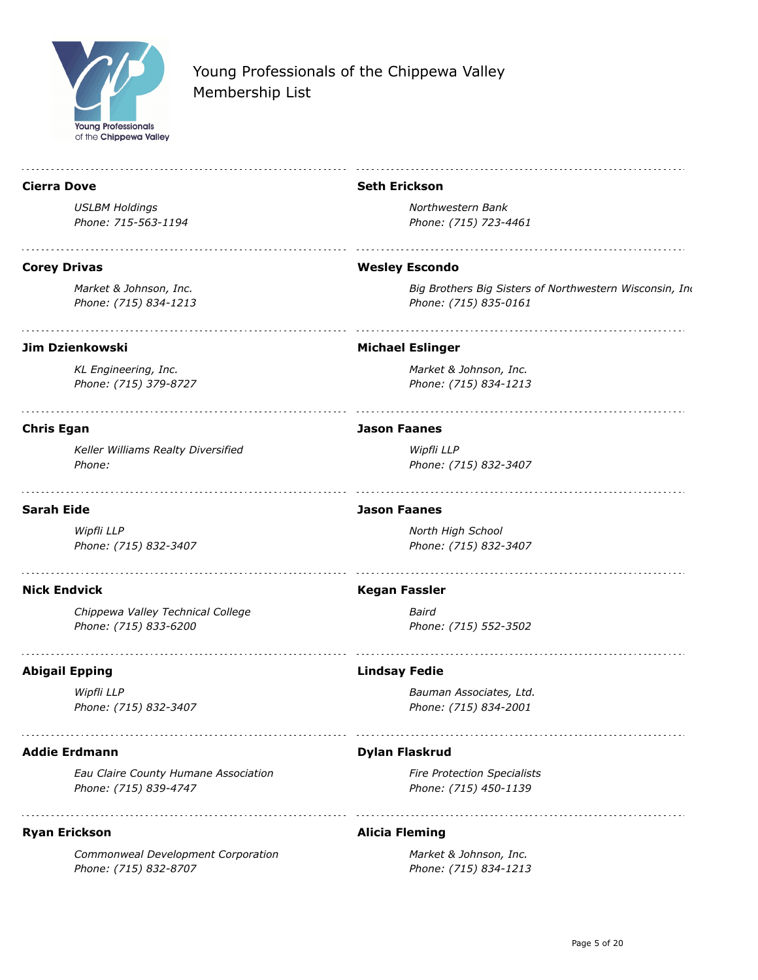

| <b>Cierra Dove</b>                   | <b>Seth Erickson</b>                                    |
|--------------------------------------|---------------------------------------------------------|
| <b>USLBM Holdings</b>                | Northwestern Bank                                       |
| Phone: 715-563-1194                  | Phone: (715) 723-4461                                   |
| <b>Corey Drivas</b>                  | <b>Wesley Escondo</b>                                   |
| Market & Johnson, Inc.               | Big Brothers Big Sisters of Northwestern Wisconsin, Ind |
| Phone: (715) 834-1213                | Phone: (715) 835-0161                                   |
| <b>Jim Dzienkowski</b>               | <b>Michael Eslinger</b>                                 |
| KL Engineering, Inc.                 | Market & Johnson, Inc.                                  |
| Phone: (715) 379-8727                | Phone: (715) 834-1213                                   |
| <b>Chris Egan</b>                    | <b>Jason Faanes</b>                                     |
| Keller Williams Realty Diversified   | Wipfli LLP                                              |
| Phone:                               | Phone: (715) 832-3407                                   |
| <b>Sarah Eide</b>                    | <b>Jason Faanes</b>                                     |
| Wipfli LLP                           | North High School                                       |
| Phone: (715) 832-3407                | Phone: (715) 832-3407                                   |
| <b>Nick Endvick</b>                  | <b>Kegan Fassler</b>                                    |
| Chippewa Valley Technical College    | Baird                                                   |
| Phone: (715) 833-6200                | Phone: (715) 552-3502                                   |
| <b>Abigail Epping</b>                | <b>Lindsay Fedie</b>                                    |
| Wipfli LLP                           | Bauman Associates, Ltd.                                 |
| Phone: (715) 832-3407                | Phone: (715) 834-2001                                   |
| <b>Addie Erdmann</b>                 | <b>Dylan Flaskrud</b>                                   |
| Eau Claire County Humane Association | <b>Fire Protection Specialists</b>                      |
| Phone: (715) 839-4747                | Phone: (715) 450-1139                                   |
| <b>Ryan Erickson</b>                 | <b>Alicia Fleming</b>                                   |
| Commonweal Development Corporation   | Market & Johnson, Inc.                                  |
| Phone: (715) 832-8707                | Phone: (715) 834-1213                                   |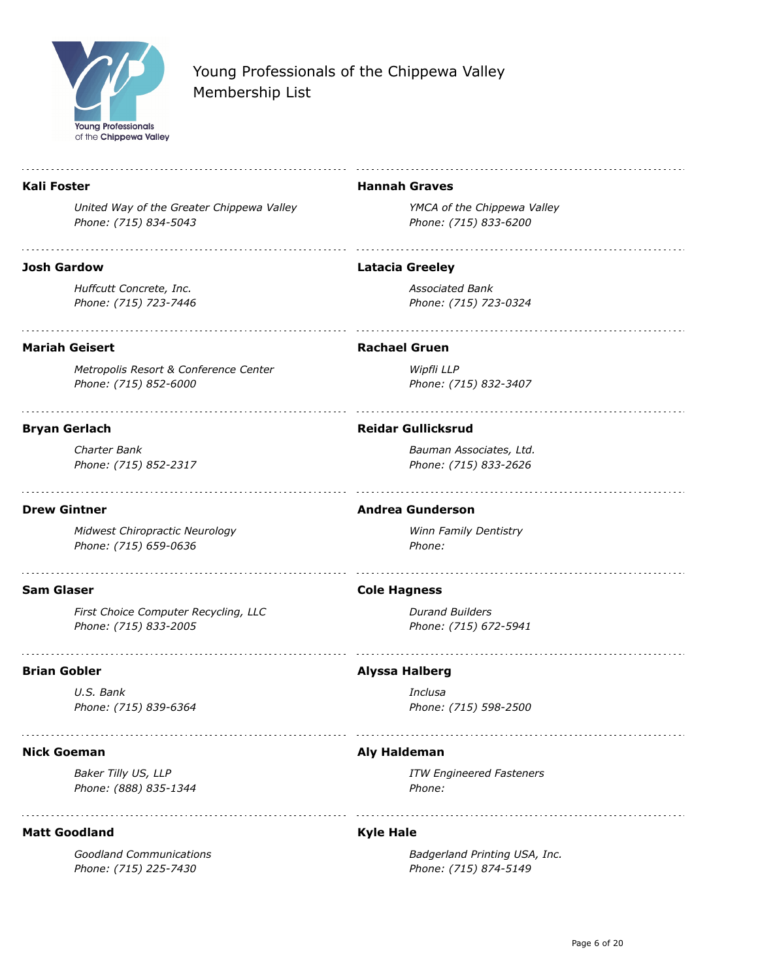

#### **Kali Foster**

*United Way of the Greater Chippewa Valley Phone: (715) 834-5043*

#### **Josh Gardow**

*Huffcutt Concrete, Inc. Phone: (715) 723-7446*

#### **Hannah Graves**

*YMCA of the Chippewa Valley Phone: (715) 833-6200*

#### **Latacia Greeley**

*Associated Bank Phone: (715) 723-0324*

### **Mariah Geisert**

*Metropolis Resort & Conference Center Phone: (715) 852-6000*

#### **Bryan Gerlach**

*Charter Bank Phone: (715) 852-2317*

#### **Drew Gintner**

*Midwest Chiropractic Neurology Phone: (715) 659-0636*

#### **Sam Glaser**

*First Choice Computer Recycling, LLC Phone: (715) 833-2005*

#### **Brian Gobler**

*U.S. Bank Phone: (715) 839-6364*

#### **Nick Goeman**

*Baker Tilly US, LLP Phone: (888) 835-1344*

#### **Matt Goodland**

*Goodland Communications Phone: (715) 225-7430*

#### **Rachael Gruen**

*Wipfli LLP Phone: (715) 832-3407*

#### **Reidar Gullicksrud**

*Bauman Associates, Ltd. Phone: (715) 833-2626*

#### **Andrea Gunderson**

*Winn Family Dentistry Phone:* 

#### **Cole Hagness**

*Durand Builders Phone: (715) 672-5941*

#### **Alyssa Halberg**

*Inclusa Phone: (715) 598-2500*

### **Aly Haldeman**

*ITW Engineered Fasteners Phone:* 

#### **Kyle Hale**

*Badgerland Printing USA, Inc. Phone: (715) 874-5149*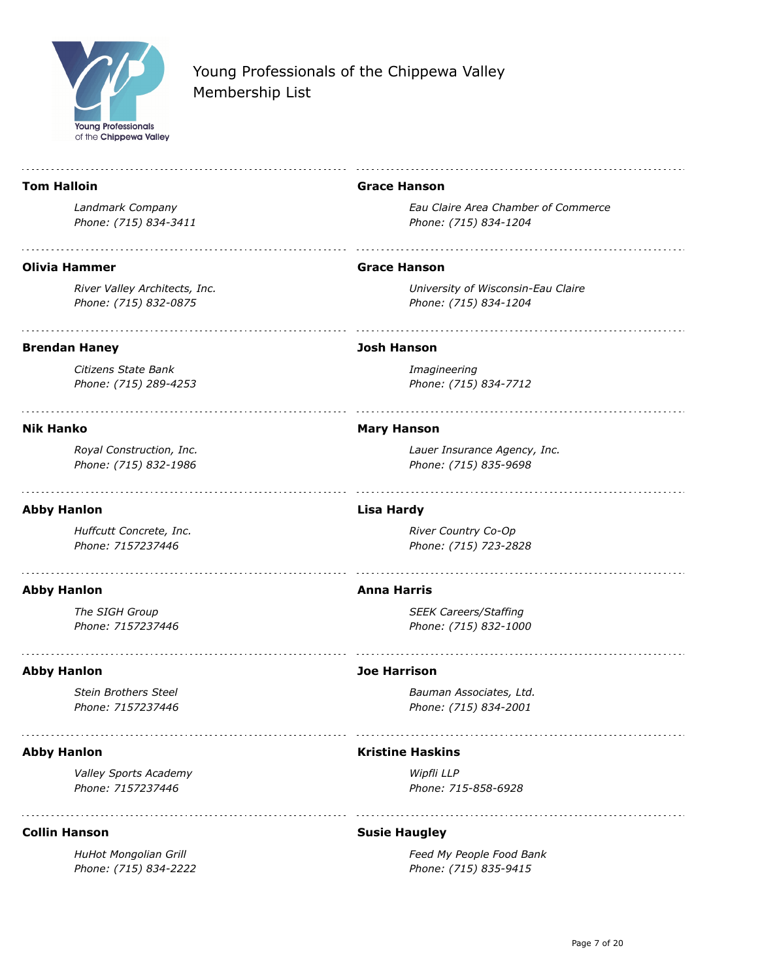

÷.

# Young Professionals of the Chippewa Valley Membership List

| <b>Tom Halloin</b>                                     | <b>Grace Hanson</b>                                          |
|--------------------------------------------------------|--------------------------------------------------------------|
| Landmark Company<br>Phone: (715) 834-3411              | Eau Claire Area Chamber of Commerce<br>Phone: (715) 834-1204 |
| Olivia Hammer                                          | <b>Grace Hanson</b>                                          |
| River Valley Architects, Inc.<br>Phone: (715) 832-0875 | University of Wisconsin-Eau Claire<br>Phone: (715) 834-1204  |
| <b>Brendan Haney</b>                                   | <b>Josh Hanson</b>                                           |
| Citizens State Bank<br>Phone: (715) 289-4253           | Imagineering<br>Phone: (715) 834-7712                        |
| <b>Nik Hanko</b>                                       | <b>Mary Hanson</b>                                           |
| Royal Construction, Inc.<br>Phone: (715) 832-1986      | Lauer Insurance Agency, Inc.<br>Phone: (715) 835-9698        |
| <b>Abby Hanlon</b>                                     | <b>Lisa Hardy</b>                                            |
| Huffcutt Concrete, Inc.<br>Phone: 7157237446           | River Country Co-Op<br>Phone: (715) 723-2828                 |
| <b>Abby Hanlon</b>                                     | <b>Anna Harris</b>                                           |
| The SIGH Group<br>Phone: 7157237446                    | <b>SEEK Careers/Staffing</b><br>Phone: (715) 832-1000        |
| <b>Abby Hanlon</b>                                     | <b>Joe Harrison</b>                                          |
| <b>Stein Brothers Steel</b><br>Phone: 7157237446       | Bauman Associates, Ltd.<br>Phone: (715) 834-2001             |
| <b>Abby Hanlon</b>                                     | <b>Kristine Haskins</b>                                      |
| <b>Valley Sports Academy</b><br>Phone: 7157237446      | Wipfli LLP<br>Phone: 715-858-6928                            |
| <b>Collin Hanson</b>                                   | <b>Susie Haugley</b>                                         |
| HuHot Mongolian Grill                                  | Food My Doonlo Food Bank                                     |

*HuHot Mongolian Grill Phone: (715) 834-2222*

i,

*Feed My People Food Bank Phone: (715) 835-9415*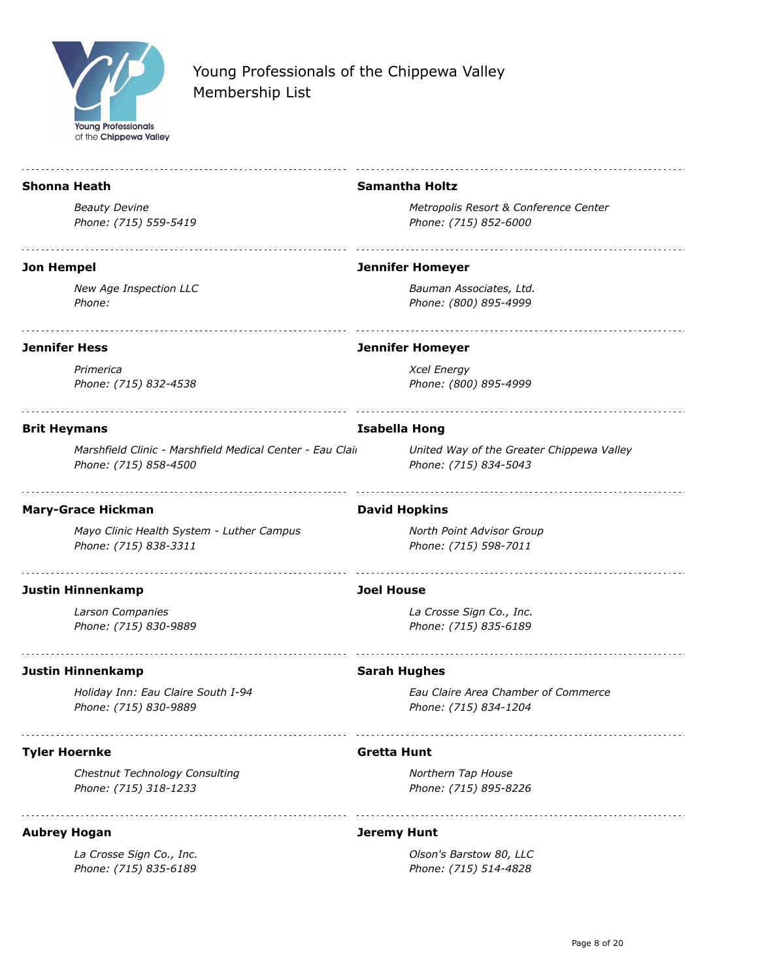

|                      | <b>Shonna Heath</b>                                                                | <b>Samantha Holtz</b>                                              |
|----------------------|------------------------------------------------------------------------------------|--------------------------------------------------------------------|
|                      | <b>Beauty Devine</b>                                                               | Metropolis Resort & Conference Center                              |
|                      | Phone: (715) 559-5419                                                              | Phone: (715) 852-6000                                              |
| <b>Jon Hempel</b>    |                                                                                    | <b>Jennifer Homeyer</b>                                            |
|                      | New Age Inspection LLC<br>Phone:                                                   | Bauman Associates, Ltd.<br>Phone: (800) 895-4999                   |
| <b>Jennifer Hess</b> |                                                                                    | <b>Jennifer Homeyer</b>                                            |
|                      | Primerica<br>Phone: (715) 832-4538                                                 | <b>Xcel Energy</b><br>Phone: (800) 895-4999                        |
| <b>Brit Heymans</b>  |                                                                                    | <b>Isabella Hong</b>                                               |
|                      | Marshfield Clinic - Marshfield Medical Center - Eau Clair<br>Phone: (715) 858-4500 | United Way of the Greater Chippewa Valley<br>Phone: (715) 834-5043 |
|                      | <b>Mary-Grace Hickman</b>                                                          | <b>David Hopkins</b>                                               |
|                      | Mayo Clinic Health System - Luther Campus<br>Phone: (715) 838-3311                 | North Point Advisor Group<br>Phone: (715) 598-7011                 |
|                      | <b>Justin Hinnenkamp</b>                                                           | <b>Joel House</b>                                                  |
|                      | Larson Companies<br>Phone: (715) 830-9889                                          | La Crosse Sign Co., Inc.<br>Phone: (715) 835-6189                  |
|                      | <b>Justin Hinnenkamp</b>                                                           | <b>Sarah Hughes</b>                                                |
|                      | Holiday Inn: Eau Claire South I-94<br>Phone: (715) 830-9889                        | Eau Claire Area Chamber of Commerce<br>Phone: (715) 834-1204       |
| <b>Tyler Hoernke</b> |                                                                                    | Gretta Hunt                                                        |
|                      | Chestnut Technology Consulting<br>Phone: (715) 318-1233                            | Northern Tap House<br>Phone: (715) 895-8226                        |
| <b>Aubrey Hogan</b>  |                                                                                    | <b>Jeremy Hunt</b>                                                 |
|                      | La Crosse Sign Co., Inc.<br>Phone: (715) 835-6189                                  | Olson's Barstow 80, LLC<br>Phone: (715) 514-4828                   |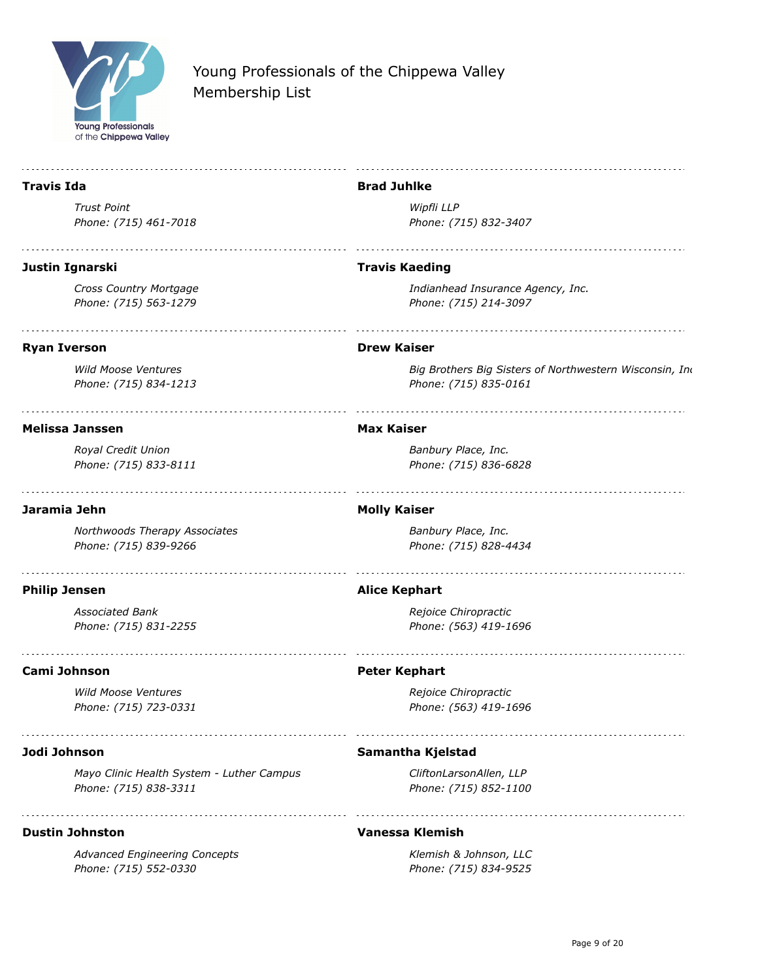

*Phone: (715) 552-0330*

# Young Professionals of the Chippewa Valley Membership List

| <b>Travis Ida</b>                                                  | <b>Brad Juhlke</b>                                                               |
|--------------------------------------------------------------------|----------------------------------------------------------------------------------|
| <b>Trust Point</b>                                                 | Wipfli LLP                                                                       |
| Phone: (715) 461-7018                                              | Phone: (715) 832-3407                                                            |
| Justin Ignarski                                                    | <b>Travis Kaeding</b>                                                            |
| Cross Country Mortgage<br>Phone: (715) 563-1279                    | Indianhead Insurance Agency, Inc.<br>Phone: (715) 214-3097                       |
| <b>Ryan Iverson</b>                                                | <b>Drew Kaiser</b>                                                               |
| <b>Wild Moose Ventures</b><br>Phone: (715) 834-1213                | Big Brothers Big Sisters of Northwestern Wisconsin, Ind<br>Phone: (715) 835-0161 |
| <b>Melissa Janssen</b>                                             | <b>Max Kaiser</b>                                                                |
| Royal Credit Union                                                 | Banbury Place, Inc.                                                              |
| Phone: (715) 833-8111                                              | Phone: (715) 836-6828                                                            |
| Jaramia Jehn                                                       | <b>Molly Kaiser</b>                                                              |
| Northwoods Therapy Associates<br>Phone: (715) 839-9266             | Banbury Place, Inc.<br>Phone: (715) 828-4434                                     |
| <b>Philip Jensen</b>                                               | <b>Alice Kephart</b>                                                             |
| <b>Associated Bank</b>                                             | Rejoice Chiropractic                                                             |
| Phone: (715) 831-2255                                              | Phone: (563) 419-1696                                                            |
| Cami Johnson                                                       | <b>Peter Kephart</b>                                                             |
| <b>Wild Moose Ventures</b><br>Phone: (715) 723-0331                | Rejoice Chiropractic<br>Phone: (563) 419-1696                                    |
| Jodi Johnson                                                       | Samantha Kjelstad                                                                |
| Mayo Clinic Health System - Luther Campus<br>Phone: (715) 838-3311 | CliftonLarsonAllen, LLP<br>Phone: (715) 852-1100                                 |
| <b>Dustin Johnston</b>                                             | <b>Vanessa Klemish</b>                                                           |
| <b>Advanced Engineering Concepts</b>                               | Klemish & Johnson, LLC                                                           |

*Phone: (715) 834-9525*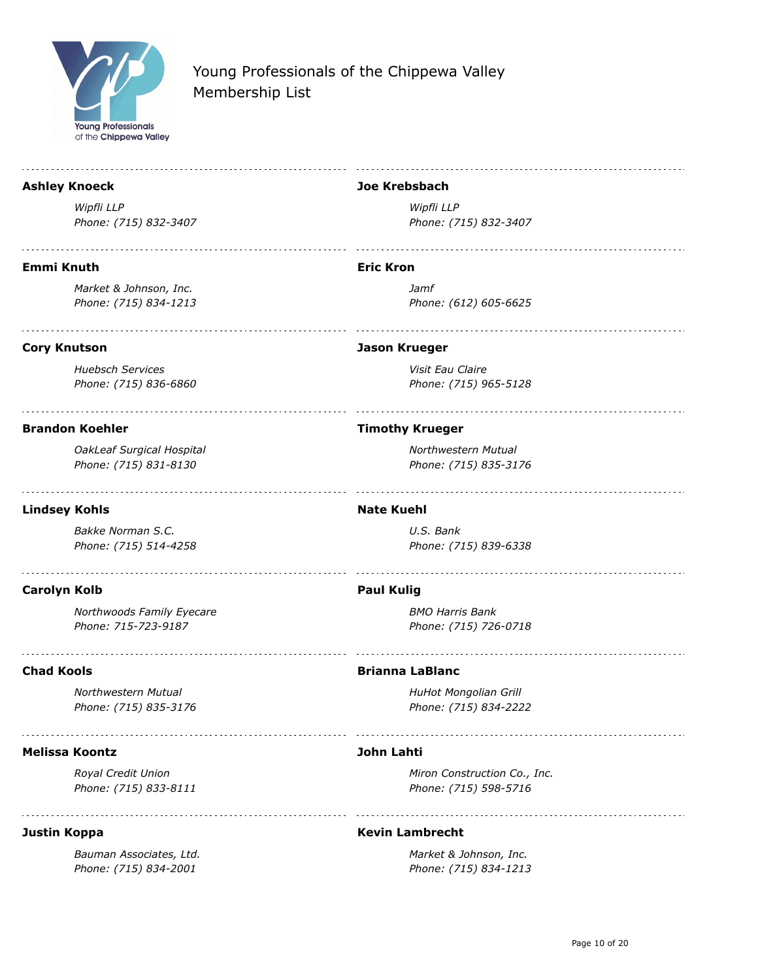

#### **Ashley Knoeck**

*Wipfli LLP Phone: (715) 832-3407*

#### **Emmi Knuth**

*Market & Johnson, Inc. Phone: (715) 834-1213*

### **Cory Knutson**

*Huebsch Services Phone: (715) 836-6860*

### **Brandon Koehler**

*OakLeaf Surgical Hospital Phone: (715) 831-8130*

### **Lindsey Kohls**

*Bakke Norman S.C. Phone: (715) 514-4258*

### **Carolyn Kolb**

*Northwoods Family Eyecare Phone: 715-723-9187*

### **Chad Kools**

*Northwestern Mutual Phone: (715) 835-3176*

### **Melissa Koontz**

*Royal Credit Union Phone: (715) 833-8111*

### **Justin Koppa**

*Bauman Associates, Ltd. Phone: (715) 834-2001*

### **Joe Krebsbach**

*Wipfli LLP Phone: (715) 832-3407*

#### **Eric Kron**

*Jamf Phone: (612) 605-6625*

### **Jason Krueger**

*Visit Eau Claire Phone: (715) 965-5128*

### **Timothy Krueger**

*Northwestern Mutual Phone: (715) 835-3176*

#### **Nate Kuehl**

*U.S. Bank Phone: (715) 839-6338*

### **Paul Kulig**

*BMO Harris Bank Phone: (715) 726-0718*

#### **Brianna LaBlanc**

*HuHot Mongolian Grill Phone: (715) 834-2222*

### **John Lahti**

*Miron Construction Co., Inc. Phone: (715) 598-5716*

### **Kevin Lambrecht**

*Market & Johnson, Inc. Phone: (715) 834-1213*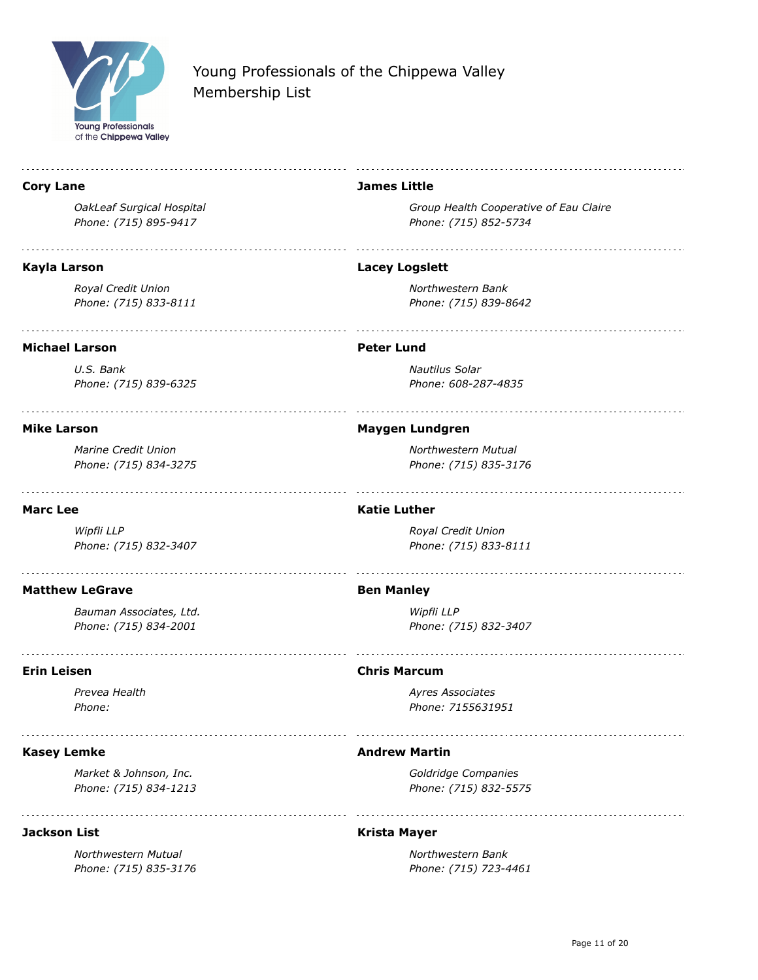

| <b>Cory Lane</b>          | <b>James Little</b>                    |
|---------------------------|----------------------------------------|
| OakLeaf Surgical Hospital | Group Health Cooperative of Eau Claire |
| Phone: (715) 895-9417     | Phone: (715) 852-5734                  |
| Kayla Larson              | <b>Lacey Logslett</b>                  |
| Royal Credit Union        | Northwestern Bank                      |
| Phone: (715) 833-8111     | Phone: (715) 839-8642                  |
| <b>Michael Larson</b>     | <b>Peter Lund</b>                      |
| U.S. Bank                 | <b>Nautilus Solar</b>                  |
| Phone: (715) 839-6325     | Phone: 608-287-4835                    |
| <b>Mike Larson</b>        | <b>Maygen Lundgren</b>                 |
| Marine Credit Union       | Northwestern Mutual                    |
| Phone: (715) 834-3275     | Phone: (715) 835-3176                  |
| <b>Marc Lee</b>           | <b>Katie Luther</b>                    |
| Wipfli LLP                | Royal Credit Union                     |
| Phone: (715) 832-3407     | Phone: (715) 833-8111                  |
| <b>Matthew LeGrave</b>    | <b>Ben Manley</b>                      |
| Bauman Associates, Ltd.   | Wipfli LLP                             |
| Phone: (715) 834-2001     | Phone: (715) 832-3407                  |
| <b>Erin Leisen</b>        | <b>Chris Marcum</b>                    |
| Prevea Health             | Ayres Associates                       |
| <i>Phone:</i>             | Phone: /155631951                      |
| <b>Kasey Lemke</b>        | <b>Andrew Martin</b>                   |
| Market & Johnson, Inc.    | Goldridge Companies                    |
| Phone: (715) 834-1213     | Phone: (715) 832-5575                  |
| <b>Jackson List</b>       | <b>Krista Mayer</b>                    |
| Northwestern Mutual       | Northwestern Bank                      |
| Phone: (715) 835-3176     | Phone: (715) 723-4461                  |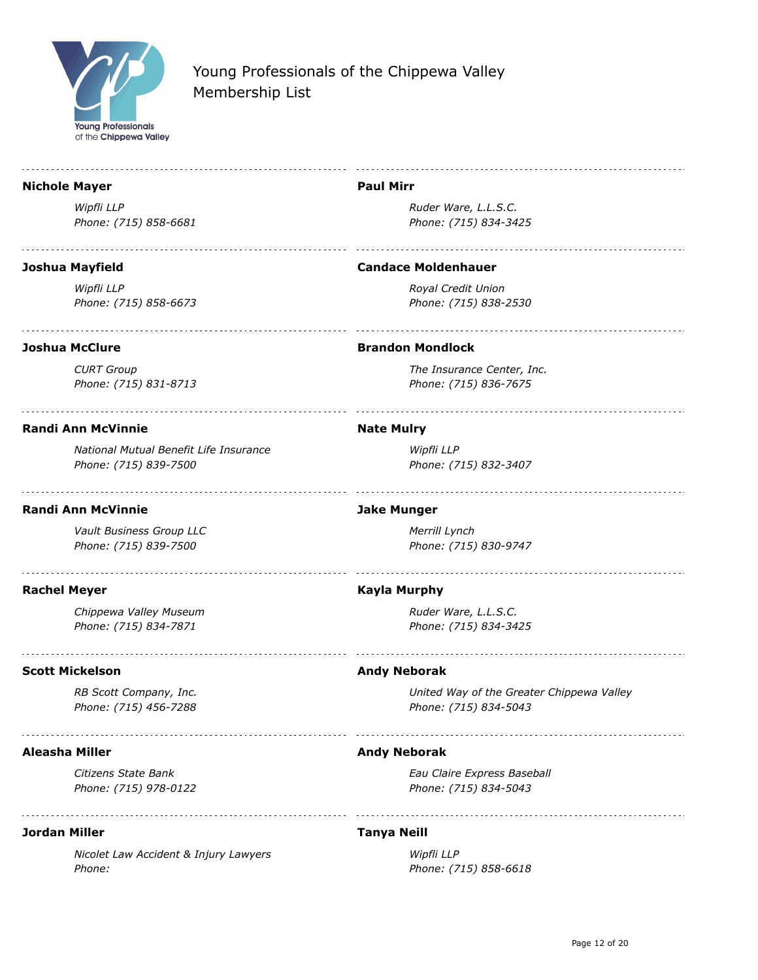

#### **Nichole Mayer**

*Wipfli LLP Phone: (715) 858-6681*

#### **Joshua Mayfield**

*Wipfli LLP Phone: (715) 858-6673*

### **Joshua McClure**

*CURT Group Phone: (715) 831-8713*

### **Randi Ann McVinnie**

*National Mutual Benefit Life Insurance Phone: (715) 839-7500*

### **Randi Ann McVinnie**

*Vault Business Group LLC Phone: (715) 839-7500*

### **Rachel Meyer**

*Chippewa Valley Museum Phone: (715) 834-7871*

### **Scott Mickelson**

*RB Scott Company, Inc. Phone: (715) 456-7288*

### **Aleasha Miller**

*Citizens State Bank Phone: (715) 978-0122*

### **Jordan Miller**

*Nicolet Law Accident & Injury Lawyers Phone:* 

### **Paul Mirr**

*Ruder Ware, L.L.S.C. Phone: (715) 834-3425*

#### **Candace Moldenhauer**

*Royal Credit Union Phone: (715) 838-2530*

### **Brandon Mondlock**

*The Insurance Center, Inc. Phone: (715) 836-7675*

### **Nate Mulry**

*Wipfli LLP Phone: (715) 832-3407*

### **Jake Munger**

*Merrill Lynch Phone: (715) 830-9747*

### **Kayla Murphy**

*Ruder Ware, L.L.S.C. Phone: (715) 834-3425*

### **Andy Neborak**

*United Way of the Greater Chippewa Valley Phone: (715) 834-5043*

### **Andy Neborak**

*Eau Claire Express Baseball Phone: (715) 834-5043*

### **Tanya Neill**

*Wipfli LLP Phone: (715) 858-6618*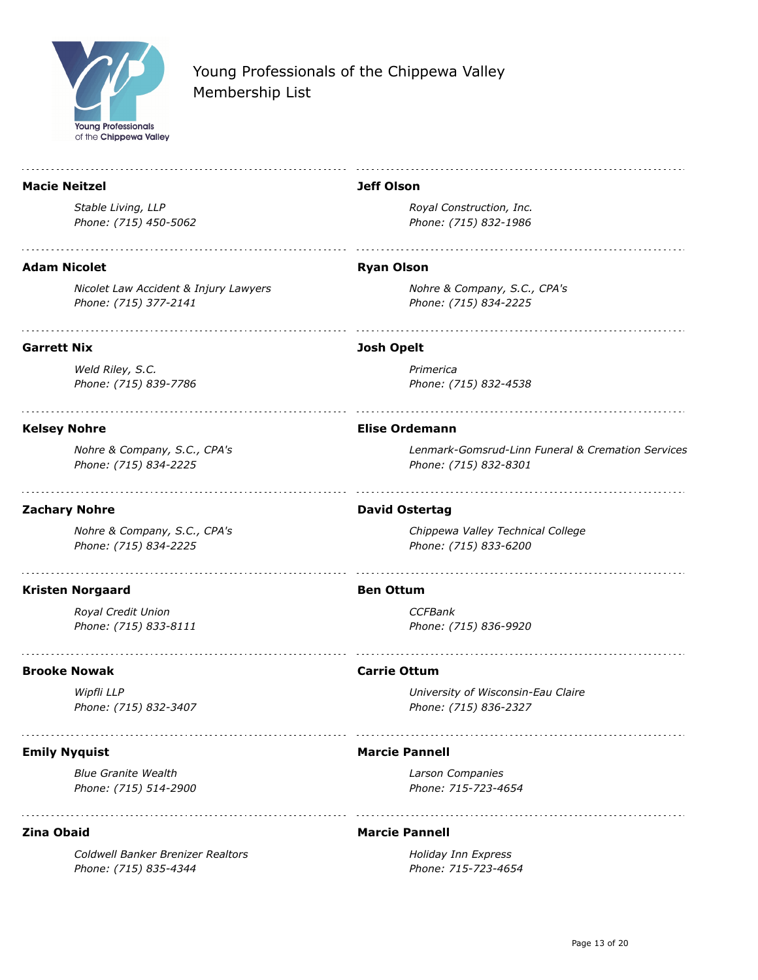

| <b>Macie Neitzel</b>                                           | <b>Jeff Olson</b>                                                          |
|----------------------------------------------------------------|----------------------------------------------------------------------------|
| Stable Living, LLP                                             | Royal Construction, Inc.                                                   |
| Phone: (715) 450-5062                                          | Phone: (715) 832-1986                                                      |
| <b>Adam Nicolet</b>                                            | <b>Ryan Olson</b>                                                          |
|                                                                |                                                                            |
| Nicolet Law Accident & Injury Lawyers<br>Phone: (715) 377-2141 | Nohre & Company, S.C., CPA's<br>Phone: (715) 834-2225                      |
| <b>Garrett Nix</b>                                             | <b>Josh Opelt</b>                                                          |
| Weld Riley, S.C.                                               | Primerica                                                                  |
| Phone: (715) 839-7786                                          | Phone: (715) 832-4538                                                      |
| <b>Kelsey Nohre</b>                                            | <b>Elise Ordemann</b>                                                      |
| Nohre & Company, S.C., CPA's<br>Phone: (715) 834-2225          | Lenmark-Gomsrud-Linn Funeral & Cremation Services<br>Phone: (715) 832-8301 |
| <b>Zachary Nohre</b>                                           | <b>David Ostertag</b>                                                      |
| Nohre & Company, S.C., CPA's<br>Phone: (715) 834-2225          | Chippewa Valley Technical College<br>Phone: (715) 833-6200                 |
| <b>Kristen Norgaard</b>                                        | <b>Ben Ottum</b>                                                           |
| Royal Credit Union                                             | <b>CCFBank</b>                                                             |
| Phone: (715) 833-8111                                          | Phone: (715) 836-9920                                                      |
| <b>Brooke Nowak</b>                                            | <b>Carrie Ottum</b>                                                        |
| Wipfli LLP                                                     | University of Wisconsin-Eau Claire                                         |
| Phone: (715) 832-3407                                          | Phone: (715) 836-2327                                                      |
| <b>Emily Nyquist</b>                                           | <b>Marcie Pannell</b>                                                      |
| <b>Blue Granite Wealth</b>                                     | Larson Companies                                                           |
| Phone: (715) 514-2900                                          | Phone: 715-723-4654                                                        |
| <b>Zina Obaid</b>                                              | <b>Marcie Pannell</b>                                                      |
| Coldwell Banker Brenizer Realtors                              | Holiday Inn Express                                                        |
| Phone: (715) 835-4344                                          | Phone: 715-723-4654                                                        |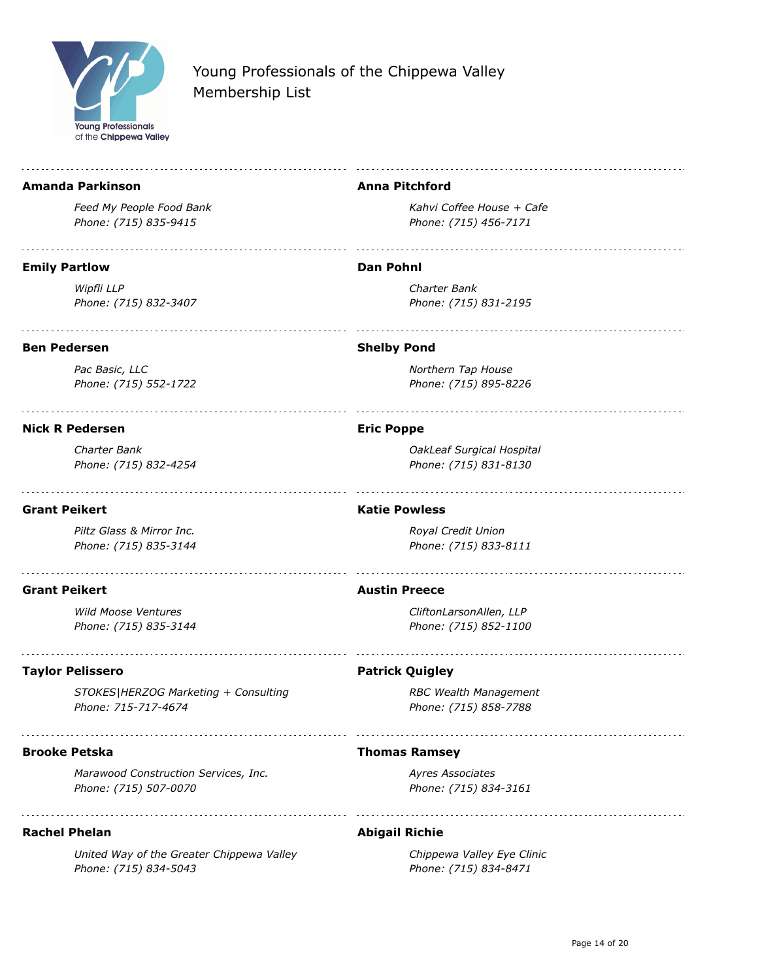

#### **Amanda Parkinson**

*Feed My People Food Bank Phone: (715) 835-9415*

#### **Emily Partlow**

*Wipfli LLP Phone: (715) 832-3407*

### **Ben Pedersen**

*Pac Basic, LLC Phone: (715) 552-1722*

#### **Nick R Pedersen**

*Charter Bank Phone: (715) 832-4254*

### **Grant Peikert**

*Piltz Glass & Mirror Inc. Phone: (715) 835-3144*

### **Grant Peikert**

*Wild Moose Ventures Phone: (715) 835-3144*

### **Taylor Pelissero**

*STOKES|HERZOG Marketing + Consulting Phone: 715-717-4674*

### **Brooke Petska**

*Marawood Construction Services, Inc. Phone: (715) 507-0070*

### **Rachel Phelan**

*United Way of the Greater Chippewa Valley Phone: (715) 834-5043*

### **Anna Pitchford**

*Kahvi Coffee House + Cafe Phone: (715) 456-7171*

#### **Dan Pohnl**

*Charter Bank Phone: (715) 831-2195*

### **Shelby Pond**

*Northern Tap House Phone: (715) 895-8226*

### **Eric Poppe**

*OakLeaf Surgical Hospital Phone: (715) 831-8130*

#### **Katie Powless**

*Royal Credit Union Phone: (715) 833-8111*

#### **Austin Preece**

*CliftonLarsonAllen, LLP Phone: (715) 852-1100*

#### **Patrick Quigley**

*RBC Wealth Management Phone: (715) 858-7788*

### **Thomas Ramsey**

*Ayres Associates Phone: (715) 834-3161*

### **Abigail Richie**

*Chippewa Valley Eye Clinic Phone: (715) 834-8471*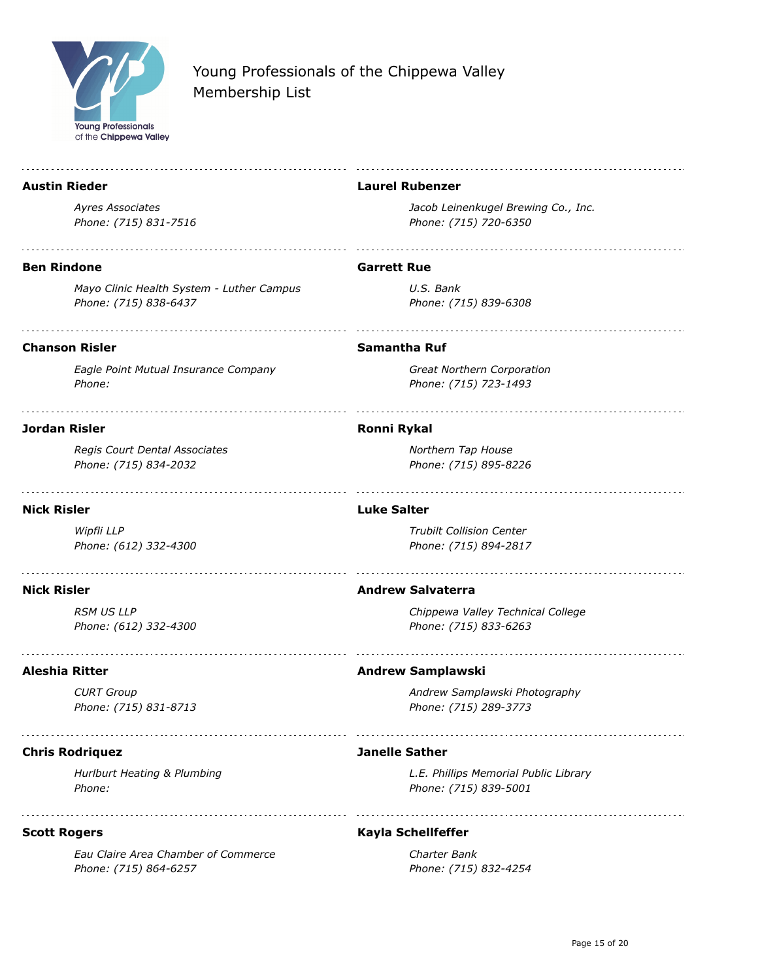

| <b>Austin Rieder</b>                                               | <b>Laurel Rubenzer</b>                                         |
|--------------------------------------------------------------------|----------------------------------------------------------------|
| <b>Avres Associates</b><br>Phone: (715) 831-7516                   | Jacob Leinenkugel Brewing Co., Inc.<br>Phone: (715) 720-6350   |
| <b>Ben Rindone</b>                                                 | <b>Garrett Rue</b>                                             |
| Mayo Clinic Health System - Luther Campus<br>Phone: (715) 838-6437 | U.S. Bank<br>Phone: (715) 839-6308                             |
| <b>Chanson Risler</b>                                              | <b>Samantha Ruf</b>                                            |
| Eagle Point Mutual Insurance Company<br>Phone:                     | Great Northern Corporation<br>Phone: (715) 723-1493            |
| <b>Jordan Risler</b>                                               | <b>Ronni Rykal</b>                                             |
| Regis Court Dental Associates<br>Phone: (715) 834-2032             | Northern Tap House<br>Phone: (715) 895-8226                    |
| <b>Nick Risler</b>                                                 | <b>Luke Salter</b>                                             |
| Wipfli LLP<br>Phone: (612) 332-4300                                | <b>Trubilt Collision Center</b><br>Phone: (715) 894-2817       |
| <b>Nick Risler</b>                                                 | <b>Andrew Salvaterra</b>                                       |
| <b>RSM US LLP</b><br>Phone: (612) 332-4300                         | Chippewa Valley Technical College<br>Phone: (715) 833-6263     |
| <b>Aleshia Ritter</b>                                              | <b>Andrew Samplawski</b>                                       |
| <b>CURT Group</b><br>Phone: (715) 831-8713                         | Andrew Samplawski Photography<br>Phone: (715) 289-3773         |
| <b>Chris Rodriquez</b>                                             | <b>Janelle Sather</b>                                          |
| Hurlburt Heating & Plumbing<br>Phone:                              | L.E. Phillips Memorial Public Library<br>Phone: (715) 839-5001 |
| <b>Scott Rogers</b>                                                | Kayla Schellfeffer                                             |
| Eau Claire Area Chamber of Commerce<br>Phone: (715) 864-6257       | Charter Bank<br>Phone: (715) 832-4254                          |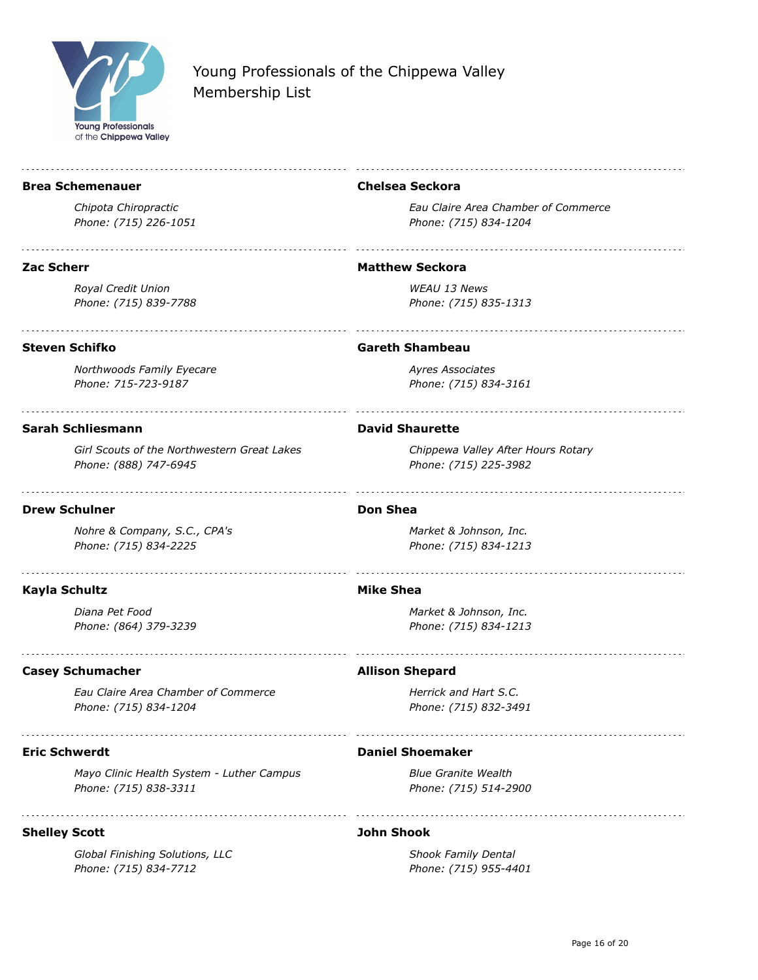

#### **Brea Schemenauer**

*Chipota Chiropractic Phone: (715) 226-1051*

#### **Zac Scherr**

*Royal Credit Union Phone: (715) 839-7788*

### **Chelsea Seckora**

*Eau Claire Area Chamber of Commerce Phone: (715) 834-1204*

#### **Matthew Seckora**

*WEAU 13 News Phone: (715) 835-1313*

### **Steven Schifko**

*Northwoods Family Eyecare Phone: 715-723-9187*

#### **Sarah Schliesmann**

*Girl Scouts of the Northwestern Great Lakes Phone: (888) 747-6945*

### **Drew Schulner**

*Nohre & Company, S.C., CPA's Phone: (715) 834-2225*

### **Kayla Schultz**

*Diana Pet Food Phone: (864) 379-3239*

### **Casey Schumacher**

*Eau Claire Area Chamber of Commerce Phone: (715) 834-1204*

### **Eric Schwerdt**

*Mayo Clinic Health System - Luther Campus Phone: (715) 838-3311*

### **Shelley Scott**

*Global Finishing Solutions, LLC Phone: (715) 834-7712*

#### **Gareth Shambeau**

*Ayres Associates Phone: (715) 834-3161*

#### **David Shaurette**

*Chippewa Valley After Hours Rotary Phone: (715) 225-3982*

#### **Don Shea**

*Market & Johnson, Inc. Phone: (715) 834-1213*

#### **Mike Shea**

*Market & Johnson, Inc. Phone: (715) 834-1213*

#### **Allison Shepard**

*Herrick and Hart S.C. Phone: (715) 832-3491*

#### **Daniel Shoemaker**

*Blue Granite Wealth Phone: (715) 514-2900*

### **John Shook**

*Shook Family Dental Phone: (715) 955-4401*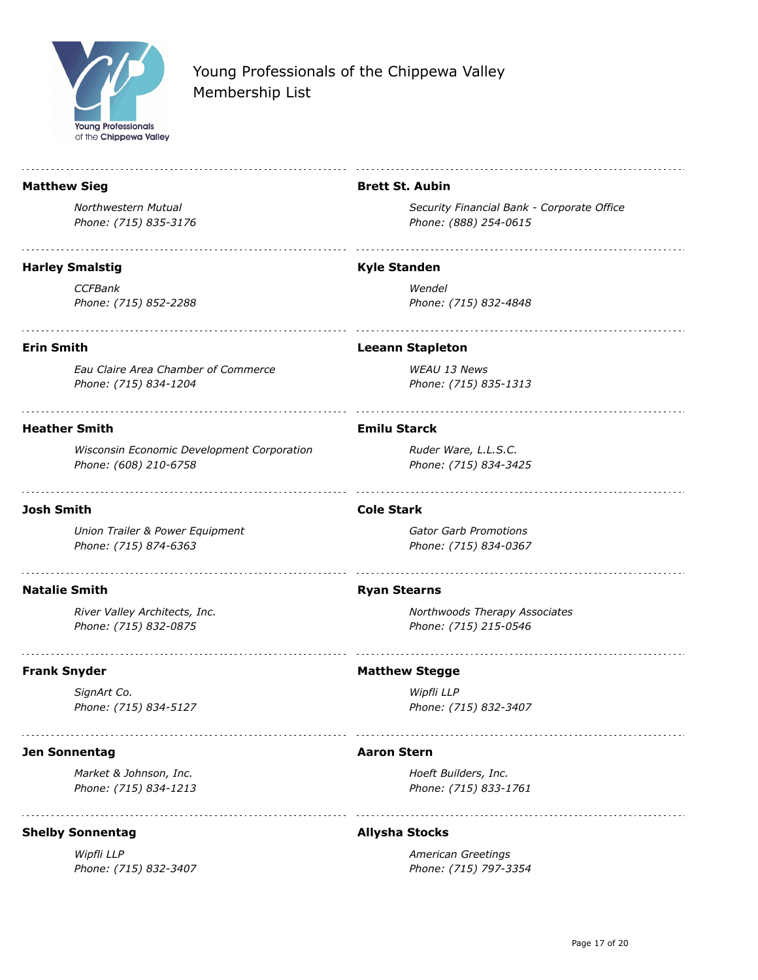

**Matthew Sieg**

*Northwestern Mutual Phone: (715) 835-3176*

*Phone: (715) 832-3407*

## Young Professionals of the Chippewa Valley Membership List

## **Harley Smalstig** *CCFBank Phone: (715) 852-2288* **Erin Smith** *Eau Claire Area Chamber of Commerce Phone: (715) 834-1204* **Heather Smith** *Wisconsin Economic Development Corporation Phone: (608) 210-6758* **Josh Smith** *Union Trailer & Power Equipment Phone: (715) 874-6363* **Natalie Smith** *River Valley Architects, Inc. Phone: (715) 832-0875* **Frank Snyder** *SignArt Co. Phone: (715) 834-5127* **Jen Sonnentag** *Market & Johnson, Inc. Phone: (715) 834-1213* **Shelby Sonnentag** *Wipfli LLP*

#### **Brett St. Aubin**

*Security Financial Bank - Corporate Office Phone: (888) 254-0615*

#### **Kyle Standen**

*Wendel Phone: (715) 832-4848*

#### **Leeann Stapleton**

*WEAU 13 News Phone: (715) 835-1313*

## **Emilu Starck**

*Ruder Ware, L.L.S.C. Phone: (715) 834-3425*

#### **Cole Stark**

*Gator Garb Promotions Phone: (715) 834-0367*

#### **Ryan Stearns**

*Northwoods Therapy Associates Phone: (715) 215-0546*

#### **Matthew Stegge**

*Wipfli LLP Phone: (715) 832-3407*

#### **Aaron Stern**

*Hoeft Builders, Inc. Phone: (715) 833-1761*

#### **Allysha Stocks**

*American Greetings Phone: (715) 797-3354*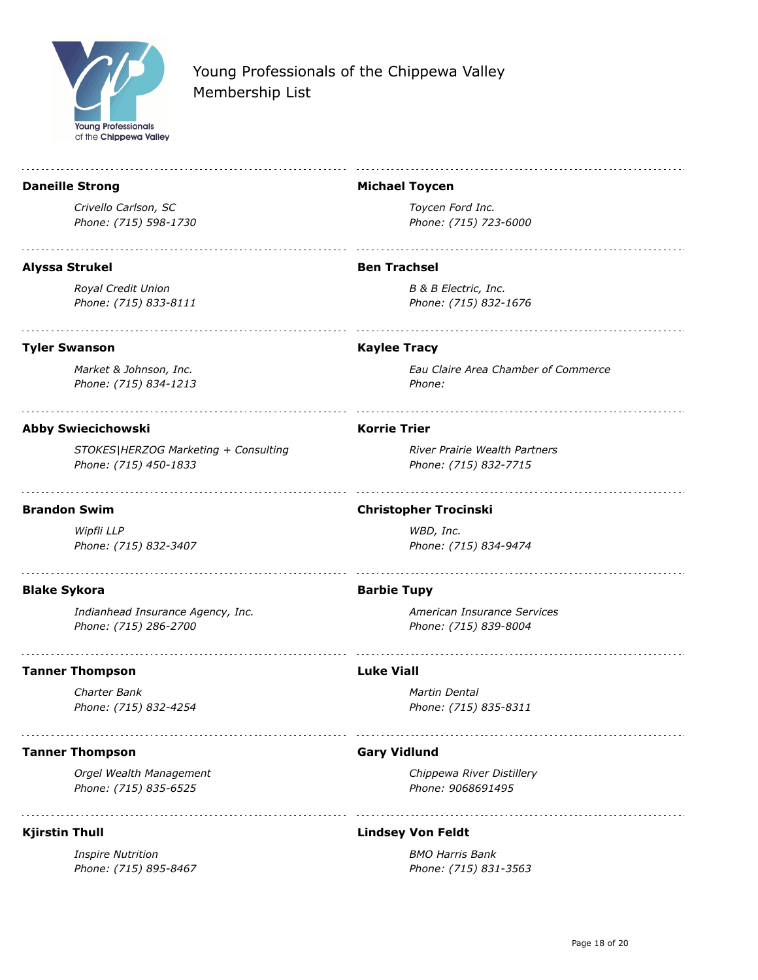

#### **Daneille Strong Michael Toycen** *Crivello Carlson, SC Toycen Ford Inc. Phone: (715) 598-1730 Phone: (715) 723-6000* **Alyssa Strukel Ben Trachsel** *Royal Credit Union B & B Electric, Inc. Phone: (715) 833-8111 Phone: (715) 832-1676* **Tyler Swanson Kaylee Tracy** *Market & Johnson, Inc. Eau Claire Area Chamber of Commerce Phone: (715) 834-1213 Phone:*  **Korrie Trier Abby Swiecichowski** *River Prairie Wealth Partners STOKES|HERZOG Marketing + Consulting Phone: (715) 450-1833 Phone: (715) 832-7715* **Brandon Swim Christopher Trocinski** *Wipfli LLP WBD, Inc. Phone: (715) 832-3407 Phone: (715) 834-9474* **Blake Sykora Barbie Tupy** *Indianhead Insurance Agency, Inc. American Insurance Services Phone: (715) 286-2700 Phone: (715) 839-8004* **Tanner Thompson Luke Viall** *Charter Bank Martin Dental Phone: (715) 832-4254 Phone: (715) 835-8311* **Tanner Thompson Gary Vidlund** *Orgel Wealth Management Chippewa River Distillery Phone: (715) 835-6525 Phone: 9068691495*

### **Kjirstin Thull**

*Inspire Nutrition Phone: (715) 895-8467*

### **Lindsey Von Feldt**

*BMO Harris Bank Phone: (715) 831-3563*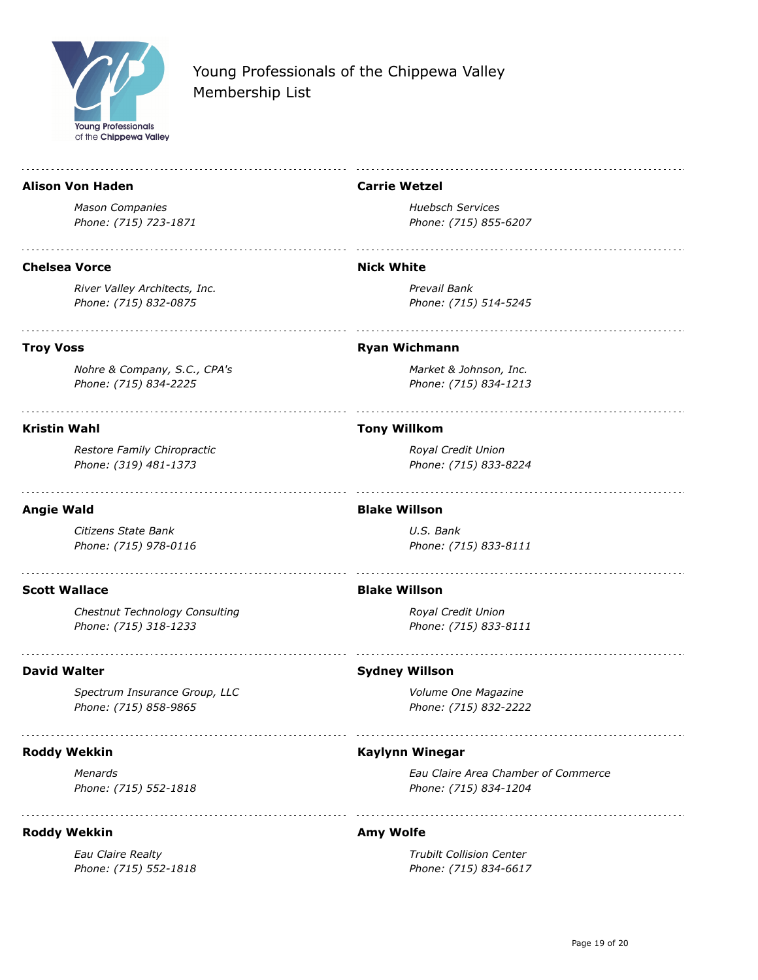

#### **Alison Von Haden**

*Mason Companies Phone: (715) 723-1871*

#### **Chelsea Vorce**

*River Valley Architects, Inc. Phone: (715) 832-0875*

**Carrie Wetzel**

*Huebsch Services Phone: (715) 855-6207*

#### **Nick White**

*Prevail Bank Phone: (715) 514-5245*

## **Troy Voss**

*Nohre & Company, S.C., CPA's Phone: (715) 834-2225*

#### **Kristin Wahl**

*Restore Family Chiropractic Phone: (319) 481-1373*

## **Angie Wald**

*Citizens State Bank Phone: (715) 978-0116*

### **Scott Wallace**

*Chestnut Technology Consulting Phone: (715) 318-1233*

### **David Walter**

*Spectrum Insurance Group, LLC Phone: (715) 858-9865*

## **Roddy Wekkin**

*Menards Phone: (715) 552-1818*

### **Roddy Wekkin**

*Eau Claire Realty Phone: (715) 552-1818*

#### **Ryan Wichmann**

*Market & Johnson, Inc. Phone: (715) 834-1213*

#### **Tony Willkom**

*Royal Credit Union Phone: (715) 833-8224*

#### **Blake Willson**

*U.S. Bank Phone: (715) 833-8111*

#### **Blake Willson**

*Royal Credit Union Phone: (715) 833-8111*

### **Sydney Willson**

*Volume One Magazine Phone: (715) 832-2222*

### **Kaylynn Winegar**

*Eau Claire Area Chamber of Commerce Phone: (715) 834-1204*

### **Amy Wolfe**

*Trubilt Collision Center Phone: (715) 834-6617*